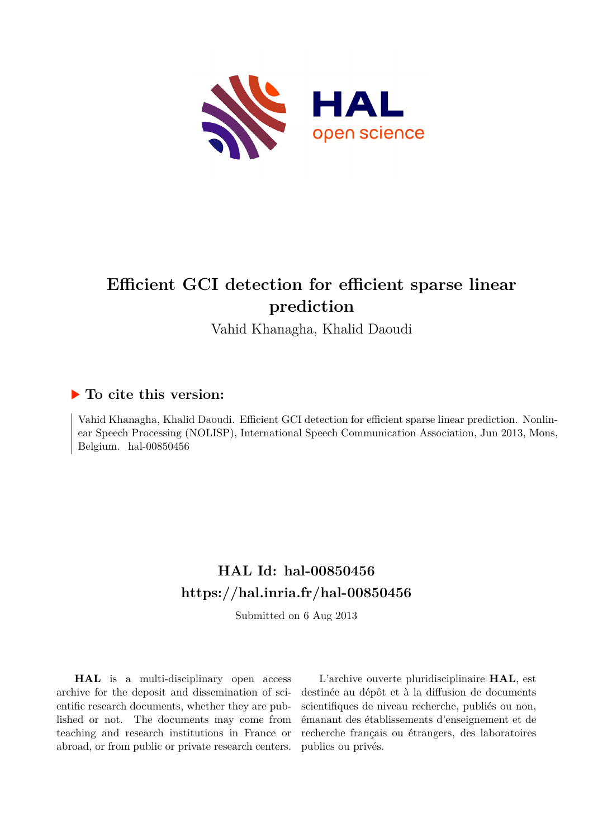

# **Efficient GCI detection for efficient sparse linear prediction**

Vahid Khanagha, Khalid Daoudi

## **To cite this version:**

Vahid Khanagha, Khalid Daoudi. Efficient GCI detection for efficient sparse linear prediction. Nonlinear Speech Processing (NOLISP), International Speech Communication Association, Jun 2013, Mons, Belgium. hal-00850456

## **HAL Id: hal-00850456 <https://hal.inria.fr/hal-00850456>**

Submitted on 6 Aug 2013

**HAL** is a multi-disciplinary open access archive for the deposit and dissemination of scientific research documents, whether they are published or not. The documents may come from teaching and research institutions in France or abroad, or from public or private research centers.

L'archive ouverte pluridisciplinaire **HAL**, est destinée au dépôt et à la diffusion de documents scientifiques de niveau recherche, publiés ou non, émanant des établissements d'enseignement et de recherche français ou étrangers, des laboratoires publics ou privés.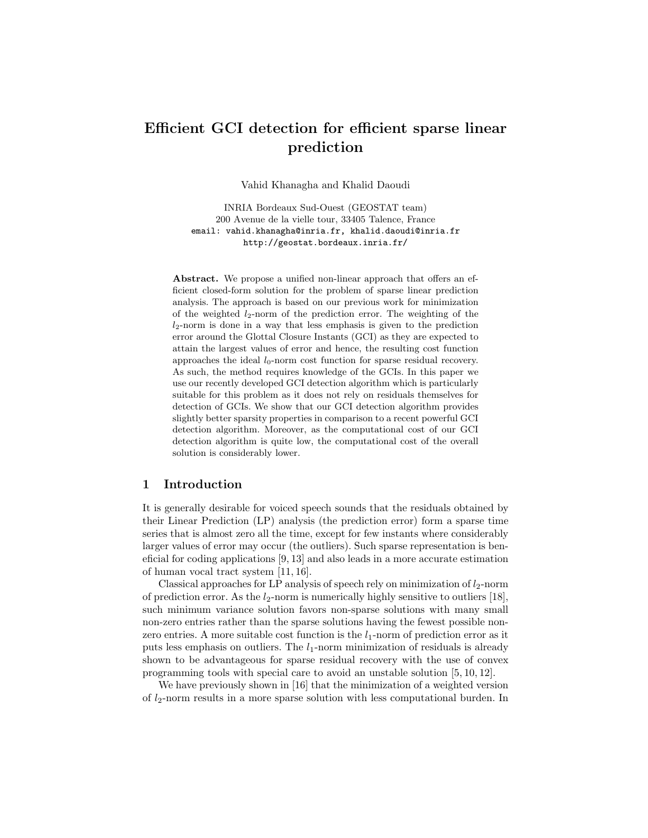## Efficient GCI detection for efficient sparse linear prediction

Vahid Khanagha and Khalid Daoudi

INRIA Bordeaux Sud-Ouest (GEOSTAT team) 200 Avenue de la vielle tour, 33405 Talence, France email: vahid.khanagha@inria.fr, khalid.daoudi@inria.fr http://geostat.bordeaux.inria.fr/

Abstract. We propose a unified non-linear approach that offers an efficient closed-form solution for the problem of sparse linear prediction analysis. The approach is based on our previous work for minimization of the weighted  $l_2$ -norm of the prediction error. The weighting of the  $l_2$ -norm is done in a way that less emphasis is given to the prediction error around the Glottal Closure Instants (GCI) as they are expected to attain the largest values of error and hence, the resulting cost function approaches the ideal  $l_0$ -norm cost function for sparse residual recovery. As such, the method requires knowledge of the GCIs. In this paper we use our recently developed GCI detection algorithm which is particularly suitable for this problem as it does not rely on residuals themselves for detection of GCIs. We show that our GCI detection algorithm provides slightly better sparsity properties in comparison to a recent powerful GCI detection algorithm. Moreover, as the computational cost of our GCI detection algorithm is quite low, the computational cost of the overall solution is considerably lower.

#### 1 Introduction

It is generally desirable for voiced speech sounds that the residuals obtained by their Linear Prediction (LP) analysis (the prediction error) form a sparse time series that is almost zero all the time, except for few instants where considerably larger values of error may occur (the outliers). Such sparse representation is beneficial for coding applications [9, 13] and also leads in a more accurate estimation of human vocal tract system [11, 16].

Classical approaches for LP analysis of speech rely on minimization of  $l_2$ -norm of prediction error. As the  $l_2$ -norm is numerically highly sensitive to outliers [18], such minimum variance solution favors non-sparse solutions with many small non-zero entries rather than the sparse solutions having the fewest possible nonzero entries. A more suitable cost function is the  $l_1$ -norm of prediction error as it puts less emphasis on outliers. The  $l_1$ -norm minimization of residuals is already shown to be advantageous for sparse residual recovery with the use of convex programming tools with special care to avoid an unstable solution [5, 10, 12].

We have previously shown in [16] that the minimization of a weighted version of  $l_2$ -norm results in a more sparse solution with less computational burden. In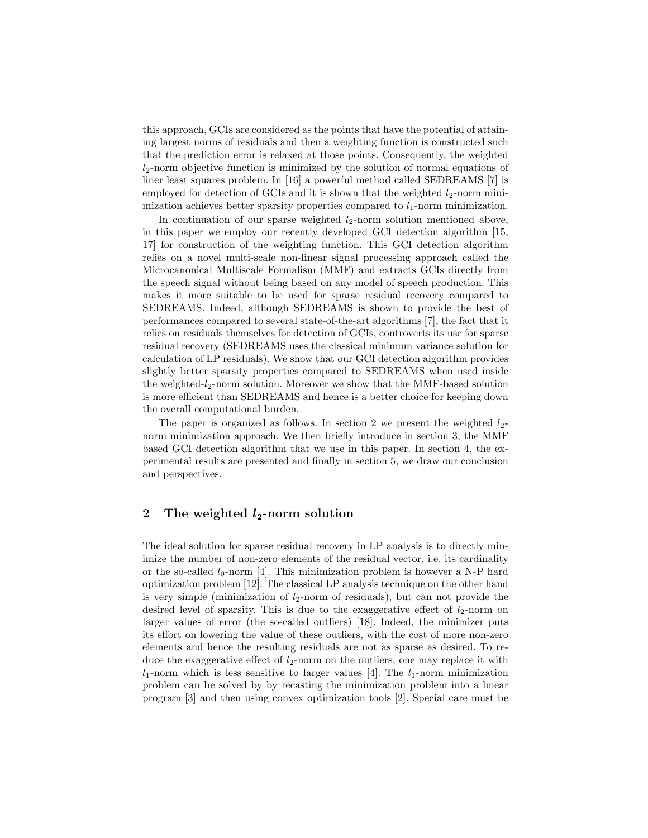this approach, GCIs are considered as the points that have the potential of attaining largest norms of residuals and then a weighting function is constructed such that the prediction error is relaxed at those points. Consequently, the weighted  $l_2$ -norm objective function is minimized by the solution of normal equations of liner least squares problem. In [16] a powerful method called SEDREAMS [7] is employed for detection of GCIs and it is shown that the weighted  $l_2$ -norm minimization achieves better sparsity properties compared to  $l_1$ -norm minimization.

In continuation of our sparse weighted  $l_2$ -norm solution mentioned above, in this paper we employ our recently developed GCI detection algorithm [15, 17] for construction of the weighting function. This GCI detection algorithm relies on a novel multi-scale non-linear signal processing approach called the Microcanonical Multiscale Formalism (MMF) and extracts GCIs directly from the speech signal without being based on any model of speech production. This makes it more suitable to be used for sparse residual recovery compared to SEDREAMS. Indeed, although SEDREAMS is shown to provide the best of performances compared to several state-of-the-art algorithms [7], the fact that it relies on residuals themselves for detection of GCIs, controverts its use for sparse residual recovery (SEDREAMS uses the classical minimum variance solution for calculation of LP residuals). We show that our GCI detection algorithm provides slightly better sparsity properties compared to SEDREAMS when used inside the weighted- $l_2$ -norm solution. Moreover we show that the MMF-based solution is more efficient than SEDREAMS and hence is a better choice for keeping down the overall computational burden.

The paper is organized as follows. In section 2 we present the weighted  $l_2$ norm minimization approach. We then briefly introduce in section 3, the MMF based GCI detection algorithm that we use in this paper. In section 4, the experimental results are presented and finally in section 5, we draw our conclusion and perspectives.

#### 2 The weighted  $l_2$ -norm solution

The ideal solution for sparse residual recovery in LP analysis is to directly minimize the number of non-zero elements of the residual vector, i.e. its cardinality or the so-called  $l_0$ -norm [4]. This minimization problem is however a N-P hard optimization problem [12]. The classical LP analysis technique on the other hand is very simple (minimization of  $l_2$ -norm of residuals), but can not provide the desired level of sparsity. This is due to the exaggerative effect of  $l_2$ -norm on larger values of error (the so-called outliers) [18]. Indeed, the minimizer puts its effort on lowering the value of these outliers, with the cost of more non-zero elements and hence the resulting residuals are not as sparse as desired. To reduce the exaggerative effect of  $l_2$ -norm on the outliers, one may replace it with  $l_1$ -norm which is less sensitive to larger values [4]. The  $l_1$ -norm minimization problem can be solved by by recasting the minimization problem into a linear program [3] and then using convex optimization tools [2]. Special care must be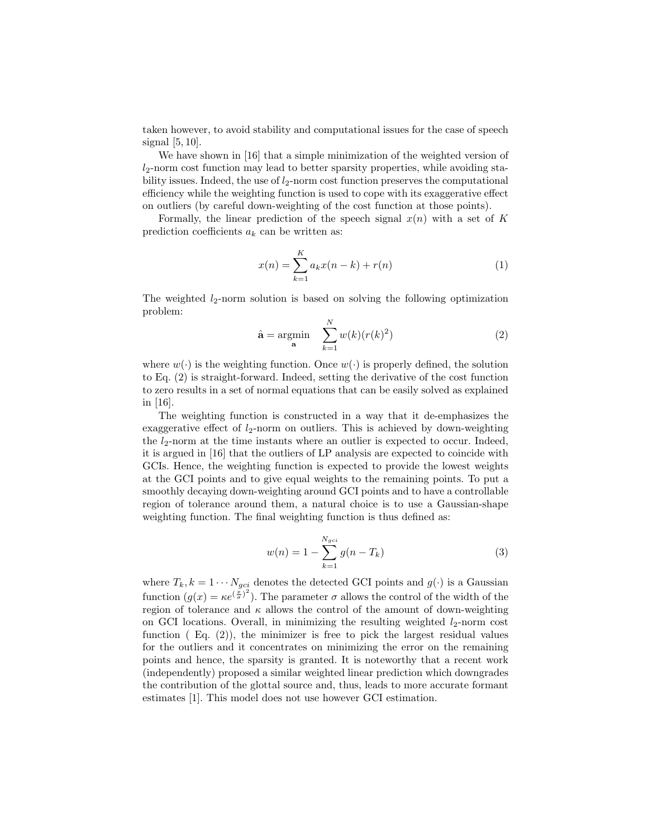taken however, to avoid stability and computational issues for the case of speech signal  $[5, 10]$ .

We have shown in [16] that a simple minimization of the weighted version of  $l_2$ -norm cost function may lead to better sparsity properties, while avoiding stability issues. Indeed, the use of  $l_2$ -norm cost function preserves the computational efficiency while the weighting function is used to cope with its exaggerative effect on outliers (by careful down-weighting of the cost function at those points).

Formally, the linear prediction of the speech signal  $x(n)$  with a set of K prediction coefficients  $a_k$  can be written as:

$$
x(n) = \sum_{k=1}^{K} a_k x(n-k) + r(n)
$$
 (1)

The weighted  $l_2$ -norm solution is based on solving the following optimization problem:

$$
\hat{\mathbf{a}} = \underset{\mathbf{a}}{\operatorname{argmin}} \quad \sum_{k=1}^{N} w(k)(r(k)^2)
$$
 (2)

where  $w(\cdot)$  is the weighting function. Once  $w(\cdot)$  is properly defined, the solution to Eq. (2) is straight-forward. Indeed, setting the derivative of the cost function to zero results in a set of normal equations that can be easily solved as explained in [16].

The weighting function is constructed in a way that it de-emphasizes the exaggerative effect of  $l_2$ -norm on outliers. This is achieved by down-weighting the  $l_2$ -norm at the time instants where an outlier is expected to occur. Indeed, it is argued in [16] that the outliers of LP analysis are expected to coincide with GCIs. Hence, the weighting function is expected to provide the lowest weights at the GCI points and to give equal weights to the remaining points. To put a smoothly decaying down-weighting around GCI points and to have a controllable region of tolerance around them, a natural choice is to use a Gaussian-shape weighting function. The final weighting function is thus defined as:

$$
w(n) = 1 - \sum_{k=1}^{N_{gci}} g(n - T_k)
$$
\n(3)

where  $T_k, k = 1 \cdots N_{gci}$  denotes the detected GCI points and  $g(\cdot)$  is a Gaussian function  $(g(x) = \kappa e^{(\frac{x}{\sigma})^2})$ . The parameter  $\sigma$  allows the control of the width of the region of tolerance and  $\kappa$  allows the control of the amount of down-weighting on GCI locations. Overall, in minimizing the resulting weighted  $l_2$ -norm cost function  $(Eq. (2))$ , the minimizer is free to pick the largest residual values for the outliers and it concentrates on minimizing the error on the remaining points and hence, the sparsity is granted. It is noteworthy that a recent work (independently) proposed a similar weighted linear prediction which downgrades the contribution of the glottal source and, thus, leads to more accurate formant estimates [1]. This model does not use however GCI estimation.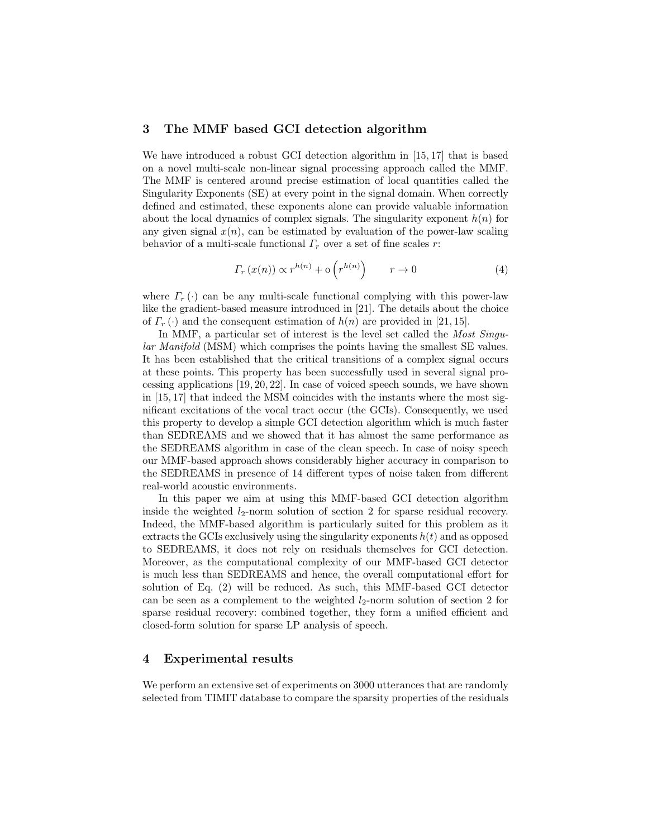#### 3 The MMF based GCI detection algorithm

We have introduced a robust GCI detection algorithm in [15, 17] that is based on a novel multi-scale non-linear signal processing approach called the MMF. The MMF is centered around precise estimation of local quantities called the Singularity Exponents (SE) at every point in the signal domain. When correctly defined and estimated, these exponents alone can provide valuable information about the local dynamics of complex signals. The singularity exponent  $h(n)$  for any given signal  $x(n)$ , can be estimated by evaluation of the power-law scaling behavior of a multi-scale functional  $\Gamma_r$  over a set of fine scales r:

$$
\Gamma_r(x(n)) \propto r^{h(n)} + o\left(r^{h(n)}\right) \qquad r \to 0 \tag{4}
$$

where  $\Gamma_r(\cdot)$  can be any multi-scale functional complying with this power-law like the gradient-based measure introduced in [21]. The details about the choice of  $\Gamma_r(\cdot)$  and the consequent estimation of  $h(n)$  are provided in [21, 15].

In MMF, a particular set of interest is the level set called the Most Singular Manifold (MSM) which comprises the points having the smallest SE values. It has been established that the critical transitions of a complex signal occurs at these points. This property has been successfully used in several signal processing applications [19, 20, 22]. In case of voiced speech sounds, we have shown in [15, 17] that indeed the MSM coincides with the instants where the most significant excitations of the vocal tract occur (the GCIs). Consequently, we used this property to develop a simple GCI detection algorithm which is much faster than SEDREAMS and we showed that it has almost the same performance as the SEDREAMS algorithm in case of the clean speech. In case of noisy speech our MMF-based approach shows considerably higher accuracy in comparison to the SEDREAMS in presence of 14 different types of noise taken from different real-world acoustic environments.

In this paper we aim at using this MMF-based GCI detection algorithm inside the weighted  $l_2$ -norm solution of section 2 for sparse residual recovery. Indeed, the MMF-based algorithm is particularly suited for this problem as it extracts the GCIs exclusively using the singularity exponents  $h(t)$  and as opposed to SEDREAMS, it does not rely on residuals themselves for GCI detection. Moreover, as the computational complexity of our MMF-based GCI detector is much less than SEDREAMS and hence, the overall computational effort for solution of Eq. (2) will be reduced. As such, this MMF-based GCI detector can be seen as a complement to the weighted  $l_2$ -norm solution of section 2 for sparse residual recovery: combined together, they form a unified efficient and closed-form solution for sparse LP analysis of speech.

#### 4 Experimental results

We perform an extensive set of experiments on 3000 utterances that are randomly selected from TIMIT database to compare the sparsity properties of the residuals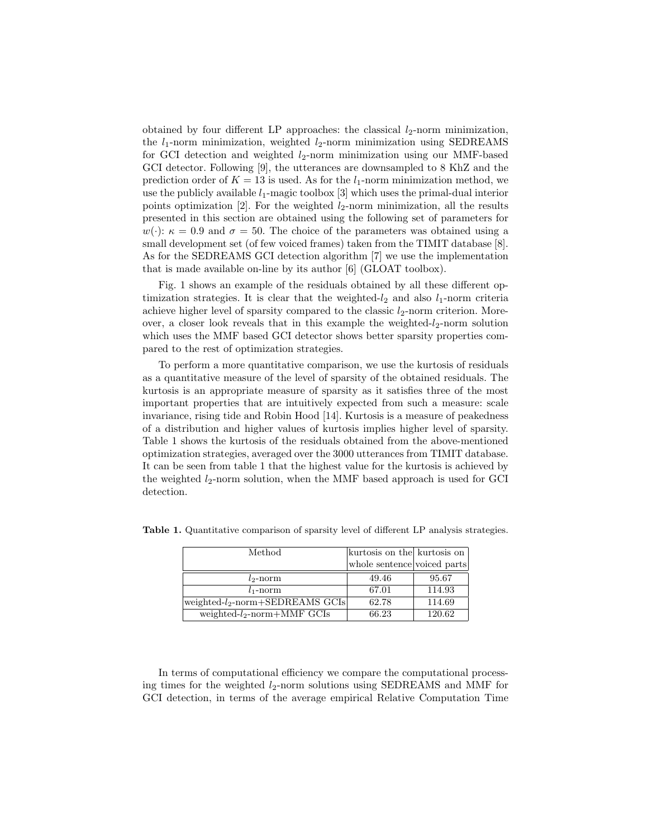obtained by four different LP approaches: the classical  $l_2$ -norm minimization, the  $l_1$ -norm minimization, weighted  $l_2$ -norm minimization using SEDREAMS for GCI detection and weighted  $l_2$ -norm minimization using our MMF-based GCI detector. Following [9], the utterances are downsampled to 8 KhZ and the prediction order of  $K = 13$  is used. As for the  $l_1$ -norm minimization method, we use the publicly available  $l_1$ -magic toolbox [3] which uses the primal-dual interior points optimization [2]. For the weighted  $l_2$ -norm minimization, all the results presented in this section are obtained using the following set of parameters for  $w(\cdot)$ :  $\kappa = 0.9$  and  $\sigma = 50$ . The choice of the parameters was obtained using a small development set (of few voiced frames) taken from the TIMIT database [8]. As for the SEDREAMS GCI detection algorithm [7] we use the implementation that is made available on-line by its author [6] (GLOAT toolbox).

Fig. 1 shows an example of the residuals obtained by all these different optimization strategies. It is clear that the weighted- $l_2$  and also  $l_1$ -norm criteria achieve higher level of sparsity compared to the classic  $l_2$ -norm criterion. Moreover, a closer look reveals that in this example the weighted- $l_2$ -norm solution which uses the MMF based GCI detector shows better sparsity properties compared to the rest of optimization strategies.

To perform a more quantitative comparison, we use the kurtosis of residuals as a quantitative measure of the level of sparsity of the obtained residuals. The kurtosis is an appropriate measure of sparsity as it satisfies three of the most important properties that are intuitively expected from such a measure: scale invariance, rising tide and Robin Hood [14]. Kurtosis is a measure of peakedness of a distribution and higher values of kurtosis implies higher level of sparsity. Table 1 shows the kurtosis of the residuals obtained from the above-mentioned optimization strategies, averaged over the 3000 utterances from TIMIT database. It can be seen from table 1 that the highest value for the kurtosis is achieved by the weighted  $l_2$ -norm solution, when the MMF based approach is used for GCI detection.

| Method                                      | kurtosis on the kurtosis on |        |
|---------------------------------------------|-----------------------------|--------|
|                                             | whole sentence voiced parts |        |
| $l_2$ -norm                                 | 49.46                       | 95.67  |
| $l_1$ -norm                                 | 67.01                       | 114.93 |
| weighted-l <sub>2</sub> -norm+SEDREAMS GCIs | 62.78                       | 114.69 |
| weighted- $l_2$ -norm+MMF GCIs              | 66.23                       | 120.62 |

Table 1. Quantitative comparison of sparsity level of different LP analysis strategies.

In terms of computational efficiency we compare the computational processing times for the weighted  $l_2$ -norm solutions using SEDREAMS and MMF for GCI detection, in terms of the average empirical Relative Computation Time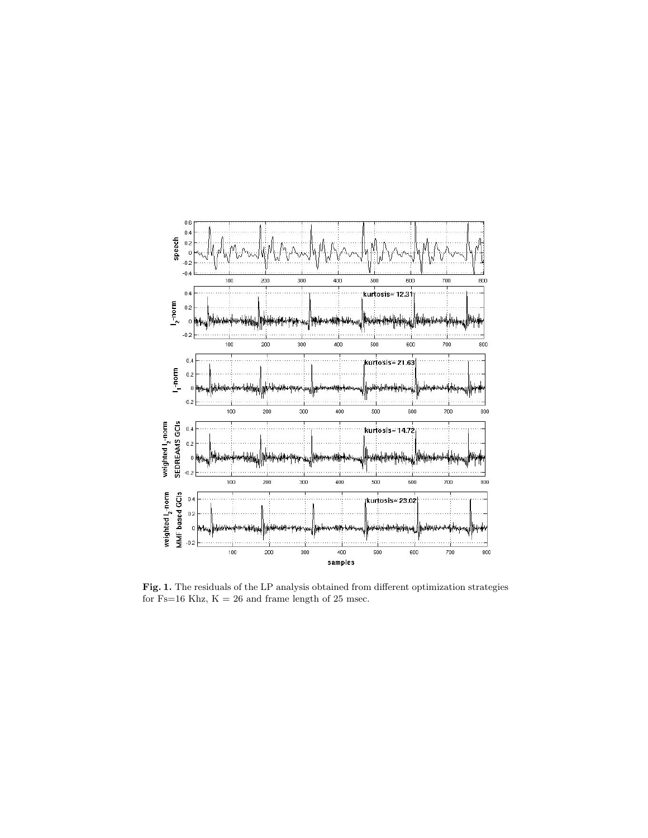

Fig. 1. The residuals of the LP analysis obtained from different optimization strategies for Fs=16 Khz,  $\mathrm{K} = 26$  and frame length of 25 msec.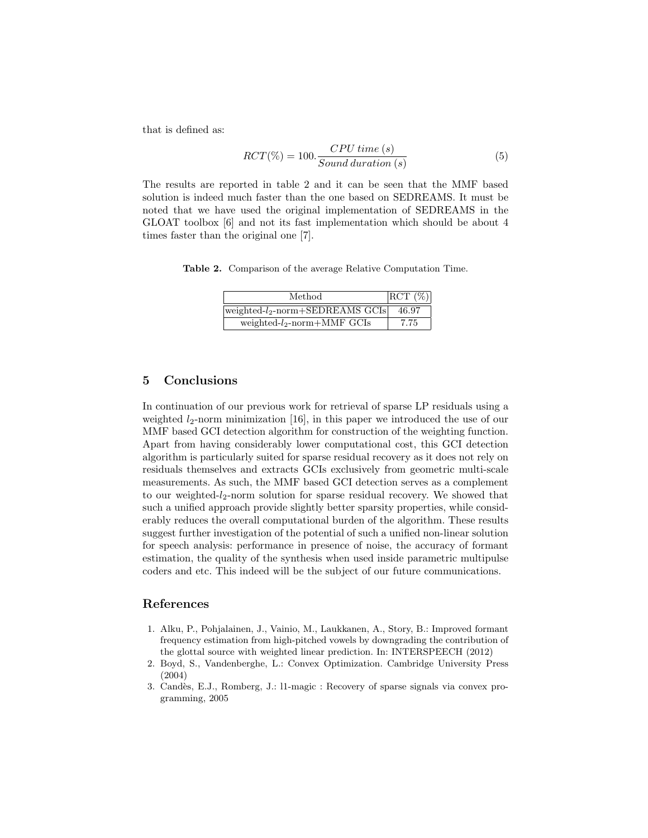that is defined as:

$$
RCT(\%) = 100. \frac{CPU \ time \ (s)}{Sound \ duration \ (s)}
$$
 (5)

The results are reported in table 2 and it can be seen that the MMF based solution is indeed much faster than the one based on SEDREAMS. It must be noted that we have used the original implementation of SEDREAMS in the GLOAT toolbox [6] and not its fast implementation which should be about 4 times faster than the original one [7].

Table 2. Comparison of the average Relative Computation Time.

| Method                              | $ RCT(\%) $ |
|-------------------------------------|-------------|
| $ weighted-l_2-norm+SEDREAMS GCIs $ | 46.97       |
| weighted- $l_2$ -norm+MMF GCIs      | 7.75        |

#### 5 Conclusions

In continuation of our previous work for retrieval of sparse LP residuals using a weighted  $l_2$ -norm minimization [16], in this paper we introduced the use of our MMF based GCI detection algorithm for construction of the weighting function. Apart from having considerably lower computational cost, this GCI detection algorithm is particularly suited for sparse residual recovery as it does not rely on residuals themselves and extracts GCIs exclusively from geometric multi-scale measurements. As such, the MMF based GCI detection serves as a complement to our weighted- $l_2$ -norm solution for sparse residual recovery. We showed that such a unified approach provide slightly better sparsity properties, while considerably reduces the overall computational burden of the algorithm. These results suggest further investigation of the potential of such a unified non-linear solution for speech analysis: performance in presence of noise, the accuracy of formant estimation, the quality of the synthesis when used inside parametric multipulse coders and etc. This indeed will be the subject of our future communications.

#### References

- 1. Alku, P., Pohjalainen, J., Vainio, M., Laukkanen, A., Story, B.: Improved formant frequency estimation from high-pitched vowels by downgrading the contribution of the glottal source with weighted linear prediction. In: INTERSPEECH (2012)
- 2. Boyd, S., Vandenberghe, L.: Convex Optimization. Cambridge University Press (2004)
- 3. Cand`es, E.J., Romberg, J.: l1-magic : Recovery of sparse signals via convex programming, 2005